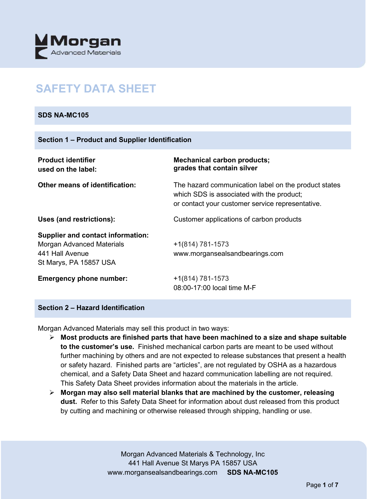

# **SAFETY DATA SHEET**

#### **SDS NA-MC105**

| <b>Product identifier</b><br>used on the label:                                                                           | <b>Mechanical carbon products;</b><br>grades that contain silver                                                                                      |
|---------------------------------------------------------------------------------------------------------------------------|-------------------------------------------------------------------------------------------------------------------------------------------------------|
| <b>Other means of identification:</b>                                                                                     | The hazard communication label on the product states<br>which SDS is associated with the product;<br>or contact your customer service representative. |
| Uses (and restrictions):                                                                                                  | Customer applications of carbon products                                                                                                              |
| <b>Supplier and contact information:</b><br><b>Morgan Advanced Materials</b><br>441 Hall Avenue<br>St Marys, PA 15857 USA | $+1(814) 781-1573$<br>www.morgansealsandbearings.com                                                                                                  |
| <b>Emergency phone number:</b>                                                                                            | +1(814) 781-1573<br>08:00-17:00 local time M-F                                                                                                        |

# **Section 2 – Hazard Identification**

Morgan Advanced Materials may sell this product in two ways:

- **Most products are finished parts that have been machined to a size and shape suitable to the customer's use.** Finished mechanical carbon parts are meant to be used without further machining by others and are not expected to release substances that present a health or safety hazard. Finished parts are "articles", are not regulated by OSHA as a hazardous chemical, and a Safety Data Sheet and hazard communication labelling are not required. This Safety Data Sheet provides information about the materials in the article.
- **Morgan may also sell material blanks that are machined by the customer, releasing dust.** Refer to this Safety Data Sheet for information about dust released from this product by cutting and machining or otherwise released through shipping, handling or use.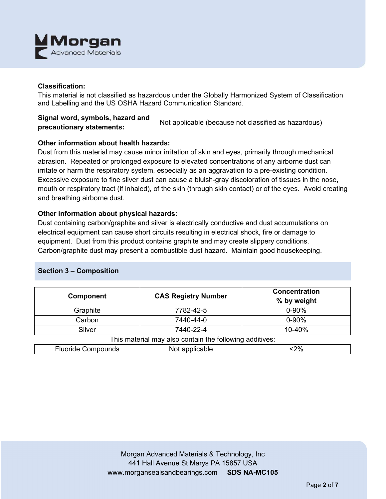

#### **Classification:**

This material is not classified as hazardous under the Globally Harmonized System of Classification and Labelling and the US OSHA Hazard Communication Standard.

# **Signal word, symbols, hazard and precautionary statements:** Not applicable (because not classified as hazardous)

# **Other information about health hazards:**

Dust from this material may cause minor irritation of skin and eyes, primarily through mechanical abrasion. Repeated or prolonged exposure to elevated concentrations of any airborne dust can irritate or harm the respiratory system, especially as an aggravation to a pre-existing condition. Excessive exposure to fine silver dust can cause a bluish-gray discoloration of tissues in the nose, mouth or respiratory tract (if inhaled), of the skin (through skin contact) or of the eyes. Avoid creating and breathing airborne dust.

#### **Other information about physical hazards:**

Dust containing carbon/graphite and silver is electrically conductive and dust accumulations on electrical equipment can cause short circuits resulting in electrical shock, fire or damage to equipment. Dust from this product contains graphite and may create slippery conditions. Carbon/graphite dust may present a combustible dust hazard. Maintain good housekeeping.

# **Section 3 – Composition**

| <b>Component</b>                                        | <b>CAS Registry Number</b> | <b>Concentration</b><br>% by weight |  |  |
|---------------------------------------------------------|----------------------------|-------------------------------------|--|--|
| Graphite                                                | 7782-42-5                  | $0 - 90%$                           |  |  |
| Carbon                                                  | 7440-44-0                  | $0 - 90%$                           |  |  |
| Silver                                                  | 7440-22-4                  | 10-40%                              |  |  |
| This material may also contain the following additives: |                            |                                     |  |  |
| <b>Fluoride Compounds</b>                               | Not applicable             | <2%                                 |  |  |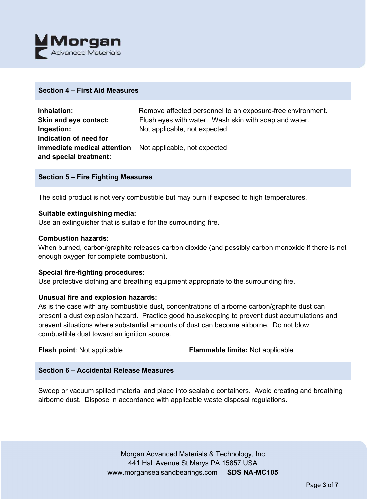

#### **Section 4 – First Aid Measures**

| Inhalation:                                                     | Remove affected personnel to an exposure-free environment. |
|-----------------------------------------------------------------|------------------------------------------------------------|
| Skin and eye contact:                                           | Flush eyes with water. Wash skin with soap and water.      |
| Ingestion:                                                      | Not applicable, not expected                               |
| Indication of need for                                          |                                                            |
| <b>immediate medical attention</b> Not applicable, not expected |                                                            |
| and special treatment:                                          |                                                            |

#### **Section 5 – Fire Fighting Measures**

The solid product is not very combustible but may burn if exposed to high temperatures.

#### **Suitable extinguishing media:**

Use an extinguisher that is suitable for the surrounding fire.

#### **Combustion hazards:**

When burned, carbon/graphite releases carbon dioxide (and possibly carbon monoxide if there is not enough oxygen for complete combustion).

#### **Special fire-fighting procedures:**

Use protective clothing and breathing equipment appropriate to the surrounding fire.

# **Unusual fire and explosion hazards:**

As is the case with any combustible dust, concentrations of airborne carbon/graphite dust can present a dust explosion hazard. Practice good housekeeping to prevent dust accumulations and prevent situations where substantial amounts of dust can become airborne. Do not blow combustible dust toward an ignition source.

**Flash point**: Not applicable **Flammable limits:** Not applicable

# **Section 6 – Accidental Release Measures**

Sweep or vacuum spilled material and place into sealable containers. Avoid creating and breathing airborne dust. Dispose in accordance with applicable waste disposal regulations.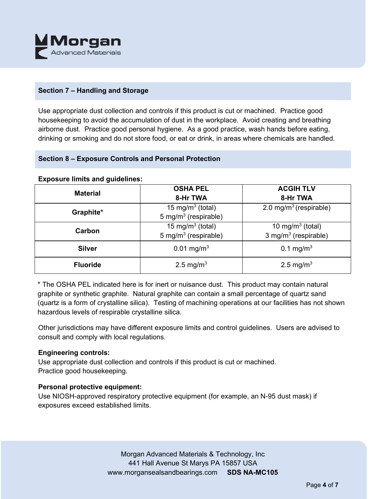

# **Section 7 – Handling and Storage**

Use appropriate dust collection and controls if this product is cut or machined. Practice good housekeeping to avoid the accumulation of dust in the workplace. Avoid creating and breathing airborne dust. Practice good personal hygiene. As a good practice, wash hands before eating, drinking or smoking and do not store food, or eat or drink, in areas where chemicals are handled.

# **Section 8 – Exposure Controls and Personal Protection**

#### **Exposure limits and guidelines:**

| <b>Material</b> | <b>OSHA PEL</b>                  | <b>ACGIH TLV</b>                   |
|-----------------|----------------------------------|------------------------------------|
|                 | 8-Hr TWA                         | 8-Hr TWA                           |
| Graphite*       | 15 mg/m <sup>3</sup> (total)     | 2.0 mg/m <sup>3</sup> (respirable) |
|                 | 5 mg/m <sup>3</sup> (respirable) |                                    |
| Carbon          | 15 mg/m <sup>3</sup> (total)     | 10 mg/m $3$ (total)                |
|                 | 5 mg/m <sup>3</sup> (respirable) | 3 mg/m $3$ (respirable)            |
| <b>Silver</b>   | $0.01$ mg/m <sup>3</sup>         | 0.1 mg/m <sup>3</sup>              |
|                 |                                  |                                    |
| <b>Fluoride</b> | 2.5 mg/m <sup>3</sup>            | 2.5 mg/m <sup>3</sup>              |
|                 |                                  |                                    |

\* The OSHA PEL indicated here is for inert or nuisance dust. This product may contain natural graphite or synthetic graphite. Natural graphite can contain a small percentage of quartz sand (quartz is a form of crystalline silica). Testing of machining operations at our facilities has not shown hazardous levels of respirable crystalline silica.

Other jurisdictions may have different exposure limits and control guidelines. Users are advised to consult and comply with local regulations.

# **Engineering controls:**

Use appropriate dust collection and controls if this product is cut or machined. Practice good housekeeping.

# **Personal protective equipment:**

Use NIOSH-approved respiratory protective equipment (for example, an N-95 dust mask) if exposures exceed established limits.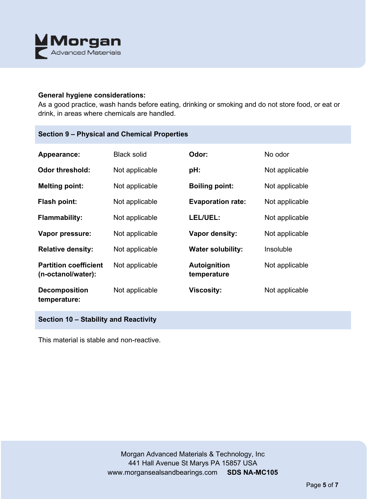

#### **General hygiene considerations:**

As a good practice, wash hands before eating, drinking or smoking and do not store food, or eat or drink, in areas where chemicals are handled.

# **Section 9 – Physical and Chemical Properties**

| Appearance:                                        | <b>Black solid</b> | Odor:                              | No odor        |
|----------------------------------------------------|--------------------|------------------------------------|----------------|
| <b>Odor threshold:</b>                             | Not applicable     | pH:                                | Not applicable |
| <b>Melting point:</b>                              | Not applicable     | <b>Boiling point:</b>              | Not applicable |
| <b>Flash point:</b>                                | Not applicable     | <b>Evaporation rate:</b>           | Not applicable |
| <b>Flammability:</b>                               | Not applicable     | LEL/UEL:                           | Not applicable |
| Vapor pressure:                                    | Not applicable     | Vapor density:                     | Not applicable |
| <b>Relative density:</b>                           | Not applicable     | <b>Water solubility:</b>           | Insoluble      |
| <b>Partition coefficient</b><br>(n-octanol/water): | Not applicable     | <b>Autoignition</b><br>temperature | Not applicable |
| <b>Decomposition</b><br>temperature:               | Not applicable     | <b>Viscosity:</b>                  | Not applicable |

# **Section 10 – Stability and Reactivity**

This material is stable and non-reactive.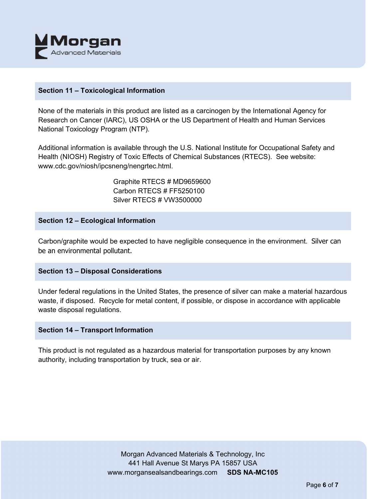

#### **Section 11 – Toxicological Information**

None of the materials in this product are listed as a carcinogen by the International Agency for Research on Cancer (IARC), US OSHA or the US Department of Health and Human Services National Toxicology Program (NTP).

Additional information is available through the U.S. National Institute for Occupational Safety and Health (NIOSH) Registry of Toxic Effects of Chemical Substances (RTECS). See website: www.cdc.gov/niosh/ipcsneng/nengrtec.html.

> Graphite RTECS # MD9659600 Carbon RTECS # FF5250100 Silver RTECS # VW3500000

#### **Section 12 – Ecological Information**

Carbon/graphite would be expected to have negligible consequence in the environment. Silver can be an environmental pollutant.

# **Section 13 – Disposal Considerations**

Under federal regulations in the United States, the presence of silver can make a material hazardous waste, if disposed. Recycle for metal content, if possible, or dispose in accordance with applicable waste disposal regulations.

# **Section 14 – Transport Information**

This product is not regulated as a hazardous material for transportation purposes by any known authority, including transportation by truck, sea or air.